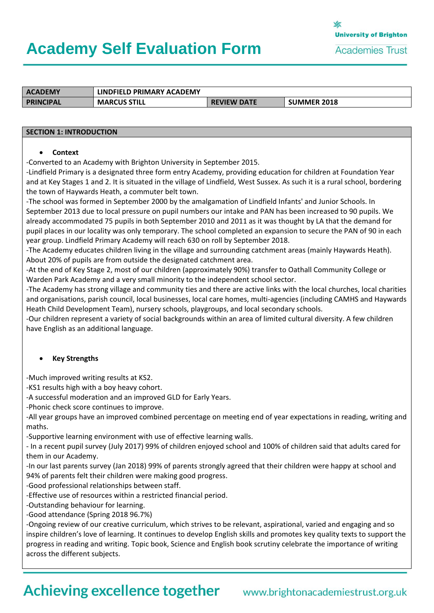# **Academy Self Evaluation Form**

| <b>ACADEMY</b> | LINDFIELD PRIMARY ACADEMY |                    |                    |
|----------------|---------------------------|--------------------|--------------------|
| PRINCIPAL      | <b>MARCUS STILL</b>       | <b>REVIEW DATE</b> | <b>SUMMER 2018</b> |

#### **SECTION 1: INTRODUCTION**

#### • **Context**

-Converted to an Academy with Brighton University in September 2015.

-Lindfield Primary is a designated three form entry Academy, providing education for children at Foundation Year and at Key Stages 1 and 2. It is situated in the village of Lindfield, West Sussex. As such it is a rural school, bordering the town of Haywards Heath, a commuter belt town.

-The school was formed in September 2000 by the amalgamation of Lindfield Infants' and Junior Schools. In September 2013 due to local pressure on pupil numbers our intake and PAN has been increased to 90 pupils. We already accommodated 75 pupils in both September 2010 and 2011 as it was thought by LA that the demand for pupil places in our locality was only temporary. The school completed an expansion to secure the PAN of 90 in each year group. Lindfield Primary Academy will reach 630 on roll by September 2018.

-The Academy educates children living in the village and surrounding catchment areas (mainly Haywards Heath). About 20% of pupils are from outside the designated catchment area.

-At the end of Key Stage 2, most of our children (approximately 90%) transfer to Oathall Community College or Warden Park Academy and a very small minority to the independent school sector.

-The Academy has strong village and community ties and there are active links with the local churches, local charities and organisations, parish council, local businesses, local care homes, multi-agencies (including CAMHS and Haywards Heath Child Development Team), nursery schools, playgroups, and local secondary schools.

-Our children represent a variety of social backgrounds within an area of limited cultural diversity. A few children have English as an additional language.

#### • **Key Strengths**

-Much improved writing results at KS2.

-KS1 results high with a boy heavy cohort.

-A successful moderation and an improved GLD for Early Years.

-Phonic check score continues to improve.

-All year groups have an improved combined percentage on meeting end of year expectations in reading, writing and maths.

-Supportive learning environment with use of effective learning walls.

- In a recent pupil survey (July 2017) 99% of children enjoyed school and 100% of children said that adults cared for them in our Academy.

-In our last parents survey (Jan 2018) 99% of parents strongly agreed that their children were happy at school and 94% of parents felt their children were making good progress.

-Good professional relationships between staff.

-Effective use of resources within a restricted financial period.

-Outstanding behaviour for learning.

-Good attendance (Spring 2018 96.7%)

-Ongoing review of our creative curriculum, which strives to be relevant, aspirational, varied and engaging and so inspire children's love of learning. It continues to develop English skills and promotes key quality texts to support the progress in reading and writing. Topic book, Science and English book scrutiny celebrate the importance of writing across the different subjects.

# Achieving excellence together www.brightonacademiestrust.org.uk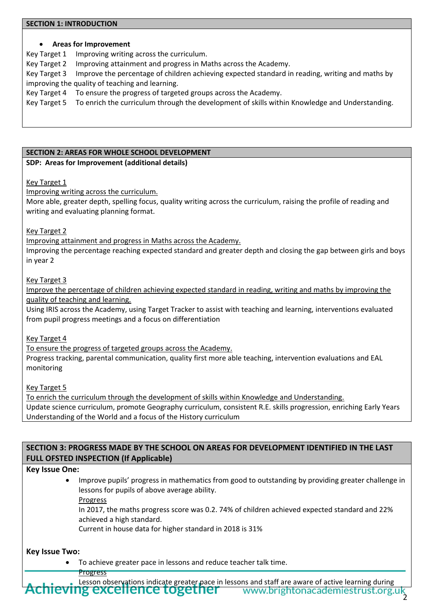#### **SECTION 1: INTRODUCTION**

#### • **Areas for Improvement**

Key Target 1 Improving writing across the curriculum.

Key Target 2 Improving attainment and progress in Maths across the Academy.

Key Target 3 Improve the percentage of children achieving expected standard in reading, writing and maths by improving the quality of teaching and learning.

Key Target 4 To ensure the progress of targeted groups across the Academy.

Key Target 5 To enrich the curriculum through the development of skills within Knowledge and Understanding.

#### **SECTION 2: AREAS FOR WHOLE SCHOOL DEVELOPMENT**

#### **SDP: Areas for Improvement (additional details)**

Key Target 1

Improving writing across the curriculum.

More able, greater depth, spelling focus, quality writing across the curriculum, raising the profile of reading and writing and evaluating planning format.

Key Target 2

Improving attainment and progress in Maths across the Academy.

Improving the percentage reaching expected standard and greater depth and closing the gap between girls and boys in year 2

#### Key Target 3

Improve the percentage of children achieving expected standard in reading, writing and maths by improving the quality of teaching and learning.

Using IRIS across the Academy, using Target Tracker to assist with teaching and learning, interventions evaluated from pupil progress meetings and a focus on differentiation

Key Target 4

To ensure the progress of targeted groups across the Academy.

Progress tracking, parental communication, quality first more able teaching, intervention evaluations and EAL monitoring

Key Target 5

To enrich the curriculum through the development of skills within Knowledge and Understanding. Update science curriculum, promote Geography curriculum, consistent R.E. skills progression, enriching Early Years Understanding of the World and a focus of the History curriculum

# **SECTION 3: PROGRESS MADE BY THE SCHOOL ON AREAS FOR DEVELOPMENT IDENTIFIED IN THE LAST FULL OFSTED INSPECTION (If Applicable)**

#### **Key Issue One:**

• Improve pupils' progress in mathematics from good to outstanding by providing greater challenge in lessons for pupils of above average ability. Progress

In 2017, the maths progress score was 0.2. 74% of children achieved expected standard and 22% achieved a high standard.

Current in house data for higher standard in 2018 is 31%

#### **Key Issue Two:**

- To achieve greater pace in lessons and reduce teacher talk time.
	- Progress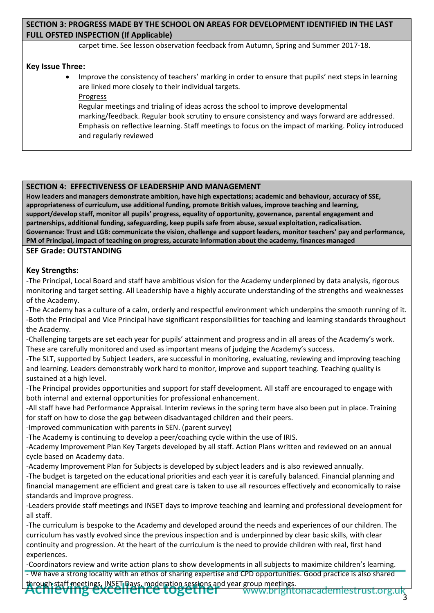# **SECTION 3: PROGRESS MADE BY THE SCHOOL ON AREAS FOR DEVELOPMENT IDENTIFIED IN THE LAST FULL OFSTED INSPECTION (If Applicable)**

carpet time. See lesson observation feedback from Autumn, Spring and Summer 2017-18.

#### **Key Issue Three:**

- Improve the consistency of teachers' marking in order to ensure that pupils' next steps in learning are linked more closely to their individual targets.
	- Progress

Regular meetings and trialing of ideas across the school to improve developmental marking/feedback. Regular book scrutiny to ensure consistency and ways forward are addressed. Emphasis on reflective learning. Staff meetings to focus on the impact of marking. Policy introduced and regularly reviewed

#### **SECTION 4: EFFECTIVENESS OF LEADERSHIP AND MANAGEMENT**

**How leaders and managers demonstrate ambition, have high expectations; academic and behaviour, accuracy of SSE, appropriateness of curriculum, use additional funding, promote British values, improve teaching and learning, support/develop staff, monitor all pupils' progress, equality of opportunity, governance, parental engagement and partnerships, additional funding, safeguarding, keep pupils safe from abuse, sexual exploitation, radicalisation. Governance: Trust and LGB: communicate the vision, challenge and support leaders, monitor teachers' pay and performance, PM of Principal, impact of teaching on progress, accurate information about the academy, finances managed**

#### **SEF Grade: OUTSTANDING**

# **Key Strengths:**

-The Principal, Local Board and staff have ambitious vision for the Academy underpinned by data analysis, rigorous monitoring and target setting. All Leadership have a highly accurate understanding of the strengths and weaknesses of the Academy.

-The Academy has a culture of a calm, orderly and respectful environment which underpins the smooth running of it. -Both the Principal and Vice Principal have significant responsibilities for teaching and learning standards throughout the Academy.

-Challenging targets are set each year for pupils' attainment and progress and in all areas of the Academy's work. These are carefully monitored and used as important means of judging the Academy's success.

-The SLT, supported by Subject Leaders, are successful in monitoring, evaluating, reviewing and improving teaching and learning. Leaders demonstrably work hard to monitor, improve and support teaching. Teaching quality is sustained at a high level.

-The Principal provides opportunities and support for staff development. All staff are encouraged to engage with both internal and external opportunities for professional enhancement.

-All staff have had Performance Appraisal. Interim reviews in the spring term have also been put in place. Training for staff on how to close the gap between disadvantaged children and their peers.

-Improved communication with parents in SEN. (parent survey)

-The Academy is continuing to develop a peer/coaching cycle within the use of IRIS.

-Academy Improvement Plan Key Targets developed by all staff. Action Plans written and reviewed on an annual cycle based on Academy data.

-Academy Improvement Plan for Subjects is developed by subject leaders and is also reviewed annually.

-The budget is targeted on the educational priorities and each year it is carefully balanced. Financial planning and financial management are efficient and great care is taken to use all resources effectively and economically to raise standards and improve progress.

-Leaders provide staff meetings and INSET days to improve teaching and learning and professional development for all staff.

-The curriculum is bespoke to the Academy and developed around the needs and experiences of our children. The curriculum has vastly evolved since the previous inspection and is underpinned by clear basic skills, with clear continuity and progression. At the heart of the curriculum is the need to provide children with real, first hand experiences.

-Coordinators review and write action plans to show developments in all subjects to maximize children's learning.

- We have a strong locality with an ethos of sharing expertise and CPD opportunities. Good practice is also shared through staff meetings, INSET Days, moderation sessions and year group meetings.<br><del>ACTITEVITIS EXCEITENCE LOSELTIE</del>T WWW.brighte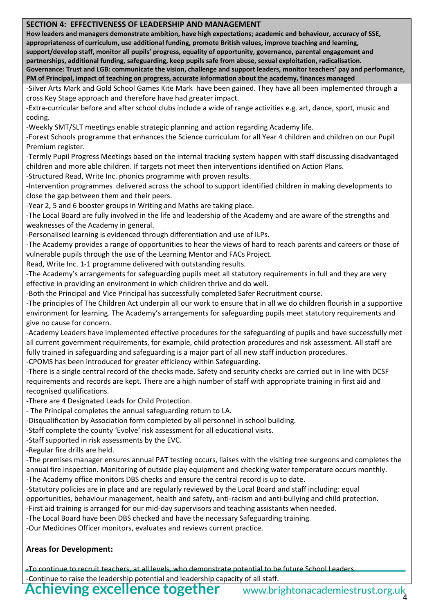#### **SECTION 4: EFFECTIVENESS OF LEADERSHIP AND MANAGEMENT**

**How leaders and managers demonstrate ambition, have high expectations; academic and behaviour, accuracy of SSE, appropriateness of curriculum, use additional funding, promote British values, improve teaching and learning, support/develop staff, monitor all pupils' progress, equality of opportunity, governance, parental engagement and partnerships, additional funding, safeguarding, keep pupils safe from abuse, sexual exploitation, radicalisation. Governance: Trust and LGB: communicate the vision, challenge and support leaders, monitor teachers' pay and performance, PM of Principal, impact of teaching on progress, accurate information about the academy, finances managed**

-Silver Arts Mark and Gold School Games Kite Mark have been gained. They have all been implemented through a cross Key Stage approach and therefore have had greater impact.

-Extra-curricular before and after school clubs include a wide of range activities e.g. art, dance, sport, music and coding.

-Weekly SMT/SLT meetings enable strategic planning and action regarding Academy life.

-Forest Schools programme that enhances the Science curriculum for all Year 4 children and children on our Pupil Premium register.

-Termly Pupil Progress Meetings based on the internal tracking system happen with staff discussing disadvantaged children and more able children. If targets not meet then interventions identified on Action Plans.

-Structured Read, Write Inc. phonics programme with proven results.

**-**Intervention programmes delivered across the school to support identified children in making developments to close the gap between them and their peers.

-Year 2, 5 and 6 booster groups in Writing and Maths are taking place.

-The Local Board are fully involved in the life and leadership of the Academy and are aware of the strengths and weaknesses of the Academy in general.

-Personalised learning is evidenced through differentiation and use of ILPs.

-The Academy provides a range of opportunities to hear the views of hard to reach parents and careers or those of vulnerable pupils through the use of the Learning Mentor and FACs Project.

Read, Write Inc. 1-1 programme delivered with outstanding results.

-The Academy's arrangements for safeguarding pupils meet all statutory requirements in full and they are very effective in providing an environment in which children thrive and do well.

-Both the Principal and Vice Principal has successfully completed Safer Recruitment course.

-The principles of The Children Act underpin all our work to ensure that in all we do children flourish in a supportive environment for learning. The Academy's arrangements for safeguarding pupils meet statutory requirements and give no cause for concern.

-Academy Leaders have implemented effective procedures for the safeguarding of pupils and have successfully met all current government requirements, for example, child protection procedures and risk assessment. All staff are fully trained in safeguarding and safeguarding is a major part of all new staff induction procedures.

-CPOMS has been introduced for greater efficiency within Safeguarding.

-There is a single central record of the checks made. Safety and security checks are carried out in line with DCSF requirements and records are kept. There are a high number of staff with appropriate training in first aid and recognised qualifications.

-There are 4 Designated Leads for Child Protection.

- The Principal completes the annual safeguarding return to LA.

-Disqualification by Association form completed by all personnel in school building.

-Staff complete the county 'Evolve' risk assessment for all educational visits.

-Staff supported in risk assessments by the EVC.

-Regular fire drills are held.

-The premises manager ensures annual PAT testing occurs, liaises with the visiting tree surgeons and completes the annual fire inspection. Monitoring of outside play equipment and checking water temperature occurs monthly. -The Academy office monitors DBS checks and ensure the central record is up to date.

-Statutory policies are in place and are regularly reviewed by the Local Board and staff including: equal

opportunities, behaviour management, health and safety, anti-racism and anti-bullying and child protection.

-First aid training is arranged for our mid-day supervisors and teaching assistants when needed.

-The Local Board have been DBS checked and have the necessary Safeguarding training.

-Our Medicines Officer monitors, evaluates and reviews current practice.

# **Areas for Development:**

-To continue to recruit teachers, at all levels, who demonstrate potential to be future School Leaders. -Continue to raise the leadership potential and leadership capacity of all staff.

**Achieving excellence together** www.brightonacademiestrust.org.uk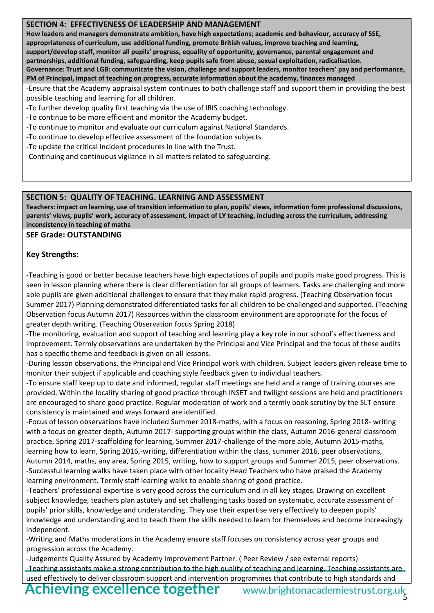#### **SECTION 4: EFFECTIVENESS OF LEADERSHIP AND MANAGEMENT**

**How leaders and managers demonstrate ambition, have high expectations; academic and behaviour, accuracy of SSE, appropriateness of curriculum, use additional funding, promote British values, improve teaching and learning, support/develop staff, monitor all pupils' progress, equality of opportunity, governance, parental engagement and partnerships, additional funding, safeguarding, keep pupils safe from abuse, sexual exploitation, radicalisation. Governance: Trust and LGB: communicate the vision, challenge and support leaders, monitor teachers' pay and performance, PM of Principal, impact of teaching on progress, accurate information about the academy, finances managed**

-Ensure that the Academy appraisal system continues to both challenge staff and support them in providing the best possible teaching and learning for all children.

-To further develop quality first teaching via the use of IRIS coaching technology.

-To continue to be more efficient and monitor the Academy budget.

-To continue to monitor and evaluate our curriculum against National Standards.

-To continue to develop effective assessment of the foundation subjects.

-To update the critical incident procedures in line with the Trust.

-Continuing and continuous vigilance in all matters related to safeguarding.

#### **SECTION 5: QUALITY OF TEACHING. LEARNING AND ASSESSMENT**

**Teachers: impact on learning, use of transition information to plan, pupils' views, information form professional discussions, parents' views, pupils' work, accuracy of assessment, impact of LY teaching, including across the curriculum, addressing inconsistency in teaching of maths**

**SEF Grade: OUTSTANDING**

#### **Key Strengths:**

-Teaching is good or better because teachers have high expectations of pupils and pupils make good progress. This is seen in lesson planning where there is clear differentiation for all groups of learners. Tasks are challenging and more able pupils are given additional challenges to ensure that they make rapid progress. (Teaching Observation focus Summer 2017) Planning demonstrated differentiated tasks for all children to be challenged and supported. (Teaching Observation focus Autumn 2017) Resources within the classroom environment are appropriate for the focus of greater depth writing. (Teaching Observation focus Spring 2018)

-The monitoring, evaluation and support of teaching and learning play a key role in our school's effectiveness and improvement. Termly observations are undertaken by the Principal and Vice Principal and the focus of these audits has a specific theme and feedback is given on all lessons.

-During lesson observations, the Principal and Vice Principal work with children. Subject leaders given release time to monitor their subject if applicable and coaching style feedback given to individual teachers.

-To ensure staff keep up to date and informed, regular staff meetings are held and a range of training courses are provided. Within the locality sharing of good practice through INSET and twilight sessions are held and practitioners are encouraged to share good practice. Regular moderation of work and a termly book scrutiny by the SLT ensure consistency is maintained and ways forward are identified.

-Focus of lesson observations have included Summer 2018-maths, with a focus on reasoning, Spring 2018- writing with a focus on greater depth, Autumn 2017- supporting groups within the class, Autumn 2016-general classroom practice, Spring 2017-scaffolding for learning, Summer 2017-challenge of the more able, Autumn 2015-maths, learning how to learn, Spring 2016,-writing, differentiation within the class, summer 2016, peer observations, Autumn 2014, maths, any area, Spring 2015, writing, how to support groups and Summer 2015, peer observations. -Successful learning walks have taken place with other locality Head Teachers who have praised the Academy learning environment. Termly staff learning walks to enable sharing of good practice.

-Teachers' professional expertise is very good across the curriculum and in all key stages. Drawing on excellent subject knowledge, teachers plan astutely and set challenging tasks based on systematic, accurate assessment of pupils' prior skills, knowledge and understanding. They use their expertise very effectively to deepen pupils' knowledge and understanding and to teach them the skills needed to learn for themselves and become increasingly independent.

-Writing and Maths moderations in the Academy ensure staff focuses on consistency across year groups and progression across the Academy.

-Judgements Quality Assured by Academy Improvement Partner. ( Peer Review / see external reports) -Teaching assistants make a strong contribution to the high quality of teaching and learning. Teaching assistants are used effectively to deliver classroom support and intervention programmes that contribute to high standards and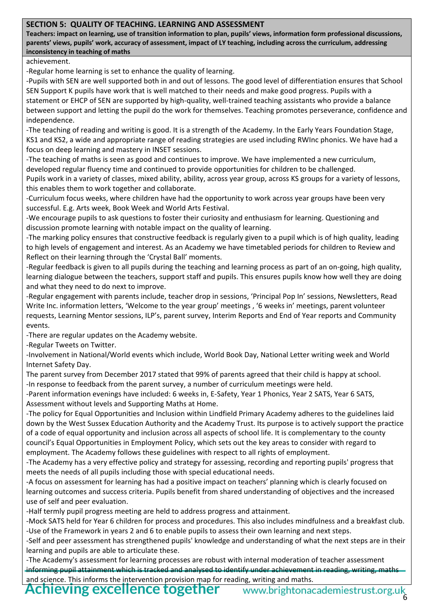### **SECTION 5: QUALITY OF TEACHING. LEARNING AND ASSESSMENT**

**Teachers: impact on learning, use of transition information to plan, pupils' views, information form professional discussions, parents' views, pupils' work, accuracy of assessment, impact of LY teaching, including across the curriculum, addressing inconsistency in teaching of maths**

#### achievement.

-Regular home learning is set to enhance the quality of learning.

-Pupils with SEN are well supported both in and out of lessons. The good level of differentiation ensures that School SEN Support K pupils have work that is well matched to their needs and make good progress. Pupils with a statement or EHCP of SEN are supported by high-quality, well-trained teaching assistants who provide a balance between support and letting the pupil do the work for themselves. Teaching promotes perseverance, confidence and independence.

-The teaching of reading and writing is good. It is a strength of the Academy. In the Early Years Foundation Stage, KS1 and KS2, a wide and appropriate range of reading strategies are used including RWInc phonics. We have had a focus on deep learning and mastery in INSET sessions.

-The teaching of maths is seen as good and continues to improve. We have implemented a new curriculum, developed regular fluency time and continued to provide opportunities for children to be challenged.

Pupils work in a variety of classes, mixed ability, ability, across year group, across KS groups for a variety of lessons, this enables them to work together and collaborate.

-Curriculum focus weeks, where children have had the opportunity to work across year groups have been very successful. E.g. Arts week, Book Week and World Arts Festival.

-We encourage pupils to ask questions to foster their curiosity and enthusiasm for learning. Questioning and discussion promote learning with notable impact on the quality of learning.

-The marking policy ensures that constructive feedback is regularly given to a pupil which is of high quality, leading to high levels of engagement and interest. As an Academy we have timetabled periods for children to Review and Reflect on their learning through the 'Crystal Ball' moments.

-Regular feedback is given to all pupils during the teaching and learning process as part of an on-going, high quality, learning dialogue between the teachers, support staff and pupils. This ensures pupils know how well they are doing and what they need to do next to improve.

-Regular engagement with parents include, teacher drop in sessions, 'Principal Pop In' sessions, Newsletters, Read Write Inc. information letters, 'Welcome to the year group' meetings , '6 weeks in' meetings, parent volunteer requests, Learning Mentor sessions, ILP's, parent survey, Interim Reports and End of Year reports and Community events.

-There are regular updates on the Academy website.

-Regular Tweets on Twitter.

-Involvement in National/World events which include, World Book Day, National Letter writing week and World Internet Safety Day.

The parent survey from December 2017 stated that 99% of parents agreed that their child is happy at school. -In response to feedback from the parent survey, a number of curriculum meetings were held.

-Parent information evenings have included: 6 weeks in, E-Safety, Year 1 Phonics, Year 2 SATS, Year 6 SATS, Assessment without levels and Supporting Maths at Home.

-The policy for Equal Opportunities and Inclusion within Lindfield Primary Academy adheres to the guidelines laid down by the West Sussex Education Authority and the Academy Trust. Its purpose is to actively support the practice of a code of equal opportunity and inclusion across all aspects of school life. It is complementary to the county council's Equal Opportunities in Employment Policy, which sets out the key areas to consider with regard to employment. The Academy follows these guidelines with respect to all rights of employment.

-The Academy has a very effective policy and strategy for assessing, recording and reporting pupils' progress that meets the needs of all pupils including those with special educational needs.

-A focus on assessment for learning has had a positive impact on teachers' planning which is clearly focused on learning outcomes and success criteria. Pupils benefit from shared understanding of objectives and the increased use of self and peer evaluation.

-Half termly pupil progress meeting are held to address progress and attainment.

-Mock SATS held for Year 6 children for process and procedures. This also includes mindfulness and a breakfast club. -Use of the Framework in years 2 and 6 to enable pupils to assess their own learning and next steps.

-Self and peer assessment has strengthened pupils' knowledge and understanding of what the next steps are in their learning and pupils are able to articulate these.

-The Academy's assessment for learning processes are robust with internal moderation of teacher assessment informing pupil attainment which is tracked and analysed to identify under achievement in reading, writing, maths and science. This informs the intervention provision map for reading, writing and maths.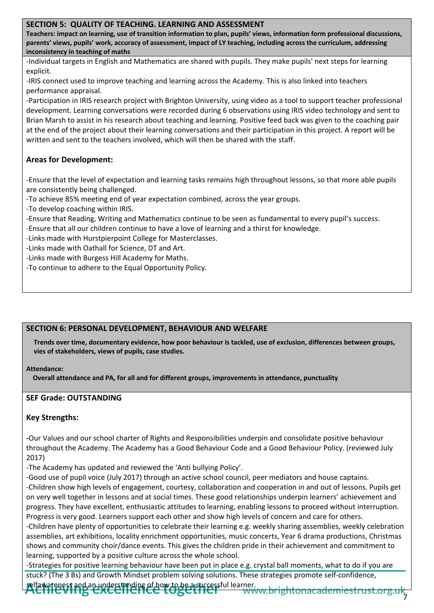### **SECTION 5: QUALITY OF TEACHING. LEARNING AND ASSESSMENT**

**Teachers: impact on learning, use of transition information to plan, pupils' views, information form professional discussions, parents' views, pupils' work, accuracy of assessment, impact of LY teaching, including across the curriculum, addressing inconsistency in teaching of maths**

-Individual targets in English and Mathematics are shared with pupils. They make pupils' next steps for learning explicit.

-IRIS connect used to improve teaching and learning across the Academy. This is also linked into teachers performance appraisal.

-Participation in IRIS research project with Brighton University, using video as a tool to support teacher professional development. Learning conversations were recorded during 6 observations using IRIS video technology and sent to Brian Marsh to assist in his research about teaching and learning. Positive feed back was given to the coaching pair at the end of the project about their learning conversations and their participation in this project. A report will be written and sent to the teachers involved, which will then be shared with the staff.

# **Areas for Development:**

-Ensure that the level of expectation and learning tasks remains high throughout lessons, so that more able pupils are consistently being challenged.

-To achieve 85% meeting end of year expectation combined, across the year groups.

-To develop coaching within IRIS.

- -Ensure that Reading, Writing and Mathematics continue to be seen as fundamental to every pupil's success.
- -Ensure that all our children continue to have a love of learning and a thirst for knowledge.

-Links made with Hurstpierpoint College for Masterclasses.

- -Links made with Oathall for Science, DT and Art.
- -Links made with Burgess Hill Academy for Maths.
- -To continue to adhere to the Equal Opportunity Policy.

#### **SECTION 6: PERSONAL DEVELOPMENT, BEHAVIOUR AND WELFARE**

**Trends over time, documentary evidence, how poor behaviour is tackled, use of exclusion, differences between groups, vies of stakeholders, views of pupils, case studies.**

#### **Attendance:**

**Overall attendance and PA, for all and for different groups, improvements in attendance, punctuality**

# **SEF Grade: OUTSTANDING**

# **Key Strengths:**

**-**Our Values and our school charter of Rights and Responsibilities underpin and consolidate positive behaviour throughout the Academy. The Academy has a Good Behaviour Code and a Good Behaviour Policy. (reviewed July 2017)

-The Academy has updated and reviewed the 'Anti bullying Policy'.

-Good use of pupil voice (July 2017) through an active school council, peer mediators and house captains. -Children show high levels of engagement, courtesy, collaboration and cooperation in and out of lessons. Pupils get on very well together in lessons and at social times. These good relationships underpin learners' achievement and progress. They have excellent, enthusiastic attitudes to learning, enabling lessons to proceed without interruption.

Progress is very good. Learners support each other and show high levels of concern and care for others.

-Children have plenty of opportunities to celebrate their learning e.g. weekly sharing assemblies, weekly celebration assemblies, art exhibitions, locality enrichment opportunities, music concerts, Year 6 drama productions, Christmas shows and community choir/dance events. This gives the children pride in their achievement and commitment to learning, supported by a positive culture across the whole school.

-Strategies for positive learning behaviour have been put in place e.g. crystal ball moments, what to do if you are stuck? (The 3 Bs) and Growth Mindset problem solving solutions. These strategies promote self-confidence,

selfawareness and an understanding of how to be a successful learner.

<u>v.brightonacademiestrust.or</u> 7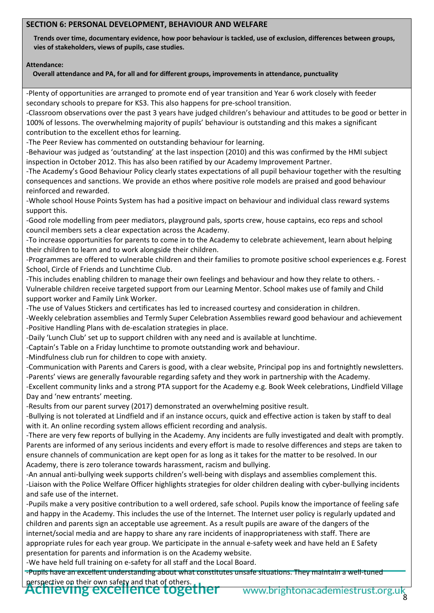#### **SECTION 6: PERSONAL DEVELOPMENT, BEHAVIOUR AND WELFARE**

**Trends over time, documentary evidence, how poor behaviour is tackled, use of exclusion, differences between groups, vies of stakeholders, views of pupils, case studies.**

#### **Attendance:**

**Overall attendance and PA, for all and for different groups, improvements in attendance, punctuality**

-Plenty of opportunities are arranged to promote end of year transition and Year 6 work closely with feeder secondary schools to prepare for KS3. This also happens for pre-school transition.

-Classroom observations over the past 3 years have judged children's behaviour and attitudes to be good or better in 100% of lessons. The overwhelming majority of pupils' behaviour is outstanding and this makes a significant contribution to the excellent ethos for learning.

-The Peer Review has commented on outstanding behaviour for learning.

-Behaviour was judged as 'outstanding' at the last inspection (2010) and this was confirmed by the HMI subject inspection in October 2012. This has also been ratified by our Academy Improvement Partner.

-The Academy's Good Behaviour Policy clearly states expectations of all pupil behaviour together with the resulting consequences and sanctions. We provide an ethos where positive role models are praised and good behaviour reinforced and rewarded.

-Whole school House Points System has had a positive impact on behaviour and individual class reward systems support this.

-Good role modelling from peer mediators, playground pals, sports crew, house captains, eco reps and school council members sets a clear expectation across the Academy.

-To increase opportunities for parents to come in to the Academy to celebrate achievement, learn about helping their children to learn and to work alongside their children.

-Programmes are offered to vulnerable children and their families to promote positive school experiences e.g. Forest School, Circle of Friends and Lunchtime Club.

-This includes enabling children to manage their own feelings and behaviour and how they relate to others. - Vulnerable children receive targeted support from our Learning Mentor. School makes use of family and Child support worker and Family Link Worker.

-The use of Values Stickers and certificates has led to increased courtesy and consideration in children.

-Weekly celebration assemblies and Termly Super Celebration Assemblies reward good behaviour and achievement -Positive Handling Plans with de-escalation strategies in place.

-Daily 'Lunch Club' set up to support children with any need and is available at lunchtime.

-Captain's Table on a Friday lunchtime to promote outstanding work and behaviour.

-Mindfulness club run for children to cope with anxiety.

-Communication with Parents and Carers is good, with a clear website, Principal pop ins and fortnightly newsletters. -Parents' views are generally favourable regarding safety and they work in partnership with the Academy.

-Excellent community links and a strong PTA support for the Academy e.g. Book Week celebrations, Lindfield Village Day and 'new entrants' meeting.

-Results from our parent survey (2017) demonstrated an overwhelming positive result.

-Bullying is not tolerated at Lindfield and if an instance occurs, quick and effective action is taken by staff to deal with it. An online recording system allows efficient recording and analysis.

-There are very few reports of bullying in the Academy. Any incidents are fully investigated and dealt with promptly. Parents are informed of any serious incidents and every effort is made to resolve differences and steps are taken to ensure channels of communication are kept open for as long as it takes for the matter to be resolved. In our Academy, there is zero tolerance towards harassment, racism and bullying.

-An annual anti-bullying week supports children's well-being with displays and assemblies complement this. -Liaison with the Police Welfare Officer highlights strategies for older children dealing with cyber-bullying incidents and safe use of the internet.

-Pupils make a very positive contribution to a well ordered, safe school. Pupils know the importance of feeling safe and happy in the Academy. This includes the use of the Internet. The Internet user policy is regularly updated and children and parents sign an acceptable use agreement. As a result pupils are aware of the dangers of the internet/social media and are happy to share any rare incidents of inappropriateness with staff. There are appropriate rules for each year group. We participate in the annual e-safety week and have held an E Safety presentation for parents and information is on the Academy website.

-We have held full training on e-safety for all staff and the Local Board.

-Pupils have an excellent understanding about what constitutes unsafe situations. They maintain a well-tuned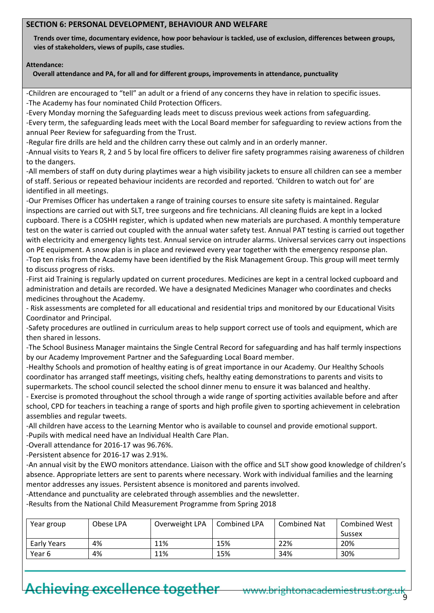#### **SECTION 6: PERSONAL DEVELOPMENT, BEHAVIOUR AND WELFARE**

**Trends over time, documentary evidence, how poor behaviour is tackled, use of exclusion, differences between groups, vies of stakeholders, views of pupils, case studies.**

#### **Attendance:**

**Overall attendance and PA, for all and for different groups, improvements in attendance, punctuality**

-Children are encouraged to "tell" an adult or a friend of any concerns they have in relation to specific issues. -The Academy has four nominated Child Protection Officers.

-Every Monday morning the Safeguarding leads meet to discuss previous week actions from safeguarding.

-Every term, the safeguarding leads meet with the Local Board member for safeguarding to review actions from the annual Peer Review for safeguarding from the Trust.

-Regular fire drills are held and the children carry these out calmly and in an orderly manner.

-Annual visits to Years R, 2 and 5 by local fire officers to deliver fire safety programmes raising awareness of children to the dangers.

-All members of staff on duty during playtimes wear a high visibility jackets to ensure all children can see a member of staff. Serious or repeated behaviour incidents are recorded and reported. 'Children to watch out for' are identified in all meetings.

-Our Premises Officer has undertaken a range of training courses to ensure site safety is maintained. Regular inspections are carried out with SLT, tree surgeons and fire technicians. All cleaning fluids are kept in a locked cupboard. There is a COSHH register, which is updated when new materials are purchased. A monthly temperature test on the water is carried out coupled with the annual water safety test. Annual PAT testing is carried out together with electricity and emergency lights test. Annual service on intruder alarms. Universal services carry out inspections on PE equipment. A snow plan is in place and reviewed every year together with the emergency response plan. -Top ten risks from the Academy have been identified by the Risk Management Group. This group will meet termly to discuss progress of risks.

-First aid Training is regularly updated on current procedures. Medicines are kept in a central locked cupboard and administration and details are recorded. We have a designated Medicines Manager who coordinates and checks medicines throughout the Academy.

- Risk assessments are completed for all educational and residential trips and monitored by our Educational Visits Coordinator and Principal.

-Safety procedures are outlined in curriculum areas to help support correct use of tools and equipment, which are then shared in lessons.

-The School Business Manager maintains the Single Central Record for safeguarding and has half termly inspections by our Academy Improvement Partner and the Safeguarding Local Board member.

-Healthy Schools and promotion of healthy eating is of great importance in our Academy. Our Healthy Schools coordinator has arranged staff meetings, visiting chefs, healthy eating demonstrations to parents and visits to supermarkets. The school council selected the school dinner menu to ensure it was balanced and healthy.

- Exercise is promoted throughout the school through a wide range of sporting activities available before and after school, CPD for teachers in teaching a range of sports and high profile given to sporting achievement in celebration assemblies and regular tweets.

-All children have access to the Learning Mentor who is available to counsel and provide emotional support. -Pupils with medical need have an Individual Health Care Plan.

-Overall attendance for 2016-17 was 96.76%.

-Persistent absence for 2016-17 was 2.91%.

-An annual visit by the EWO monitors attendance. Liaison with the office and SLT show good knowledge of children's absence. Appropriate letters are sent to parents where necessary. Work with individual families and the learning mentor addresses any issues. Persistent absence is monitored and parents involved.

-Attendance and punctuality are celebrated through assemblies and the newsletter.

-Results from the National Child Measurement Programme from Spring 2018

| Year group  | Obese LPA | Overweight LPA | Combined LPA | Combined Nat | <b>Combined West</b> |  |
|-------------|-----------|----------------|--------------|--------------|----------------------|--|
|             |           |                |              |              | Sussex               |  |
| Early Years | 4%        | 11%            | 15%          | 22%          | 20%                  |  |
| Year 6      | 4%        | 11%            | 15%          | 34%          | 30%                  |  |

# Achieving excellence together www.brightonacademiestrust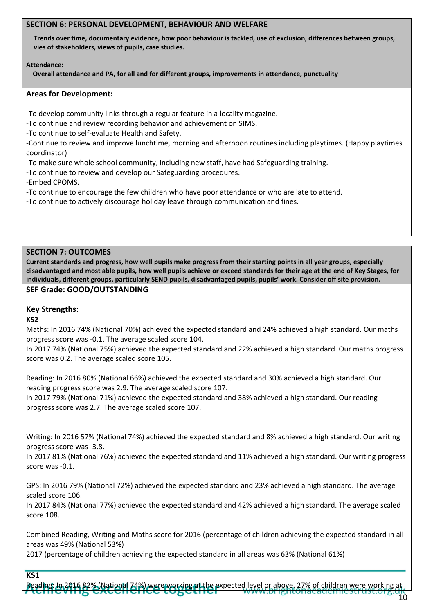#### **SECTION 6: PERSONAL DEVELOPMENT, BEHAVIOUR AND WELFARE**

**Trends over time, documentary evidence, how poor behaviour is tackled, use of exclusion, differences between groups, vies of stakeholders, views of pupils, case studies.**

#### **Attendance:**

**Overall attendance and PA, for all and for different groups, improvements in attendance, punctuality**

#### **Areas for Development:**

-To develop community links through a regular feature in a locality magazine.

-To continue and review recording behavior and achievement on SIMS.

-To continue to self-evaluate Health and Safety.

-Continue to review and improve lunchtime, morning and afternoon routines including playtimes. (Happy playtimes coordinator)

-To make sure whole school community, including new staff, have had Safeguarding training.

-To continue to review and develop our Safeguarding procedures.

-Embed CPOMS.

-To continue to encourage the few children who have poor attendance or who are late to attend.

-To continue to actively discourage holiday leave through communication and fines.

#### **SECTION 7: OUTCOMES**

**Current standards and progress, how well pupils make progress from their starting points in all year groups, especially disadvantaged and most able pupils, how well pupils achieve or exceed standards for their age at the end of Key Stages, for individuals, different groups, particularly SEND pupils, disadvantaged pupils, pupils' work. Consider off site provision.** 

#### **SEF Grade: GOOD/OUTSTANDING**

### **Key Strengths:**

#### **KS2**

Maths: In 2016 74% (National 70%) achieved the expected standard and 24% achieved a high standard. Our maths progress score was -0.1. The average scaled score 104.

In 2017 74% (National 75%) achieved the expected standard and 22% achieved a high standard. Our maths progress score was 0.2. The average scaled score 105.

Reading: In 2016 80% (National 66%) achieved the expected standard and 30% achieved a high standard. Our reading progress score was 2.9. The average scaled score 107.

In 2017 79% (National 71%) achieved the expected standard and 38% achieved a high standard. Our reading progress score was 2.7. The average scaled score 107.

Writing: In 2016 57% (National 74%) achieved the expected standard and 8% achieved a high standard. Our writing progress score was -3.8.

In 2017 81% (National 76%) achieved the expected standard and 11% achieved a high standard. Our writing progress score was -0.1.

GPS: In 2016 79% (National 72%) achieved the expected standard and 23% achieved a high standard. The average scaled score 106.

In 2017 84% (National 77%) achieved the expected standard and 42% achieved a high standard. The average scaled score 108.

Combined Reading, Writing and Maths score for 2016 (percentage of children achieving the expected standard in all areas was 49% (National 53%)

2017 (percentage of children achieving the expected standard in all areas was 63% (National 61%)

### **KS1**

ere working at the expected level or above. 27% of children were working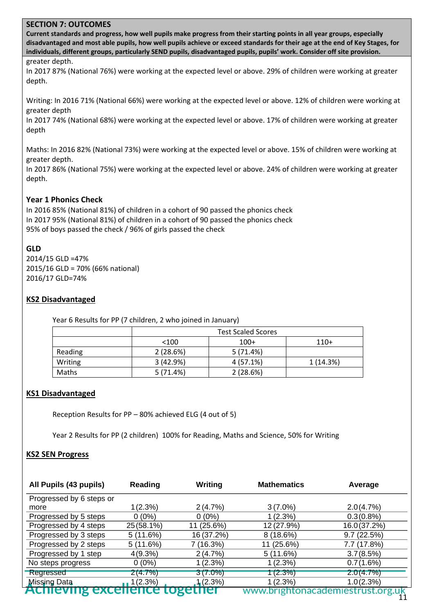**Current standards and progress, how well pupils make progress from their starting points in all year groups, especially disadvantaged and most able pupils, how well pupils achieve or exceed standards for their age at the end of Key Stages, for individuals, different groups, particularly SEND pupils, disadvantaged pupils, pupils' work. Consider off site provision.** 

#### greater depth.

In 2017 87% (National 76%) were working at the expected level or above. 29% of children were working at greater depth.

Writing: In 2016 71% (National 66%) were working at the expected level or above. 12% of children were working at greater depth

In 2017 74% (National 68%) were working at the expected level or above. 17% of children were working at greater depth

Maths: In 2016 82% (National 73%) were working at the expected level or above. 15% of children were working at greater depth.

In 2017 86% (National 75%) were working at the expected level or above. 24% of children were working at greater depth.

#### **Year 1 Phonics Check**

In 2016 85% (National 81%) of children in a cohort of 90 passed the phonics check In 2017 95% (National 81%) of children in a cohort of 90 passed the phonics check 95% of boys passed the check / 96% of girls passed the check

#### **GLD**

2014/15 GLD =47% 2015/16 GLD = 70% (66% national) 2016/17 GLD=74%

#### **KS2 Disadvantaged**

Year 6 Results for PP (7 children, 2 who joined in January)

|         | <b>Test Scaled Scores</b> |             |          |  |  |  |  |  |  |
|---------|---------------------------|-------------|----------|--|--|--|--|--|--|
|         | $<$ 100                   | $110+$      |          |  |  |  |  |  |  |
| Reading | 2(28.6%)                  | 5(71.4%)    |          |  |  |  |  |  |  |
| Writing | 3(42.9%)                  | $4(57.1\%)$ | 1(14.3%) |  |  |  |  |  |  |
| Maths   | 5(71.4%)                  | 2(28.6%)    |          |  |  |  |  |  |  |

#### **KS1 Disadvantaged**

Reception Results for PP – 80% achieved ELG (4 out of 5)

Year 2 Results for PP (2 children) 100% for Reading, Maths and Science, 50% for Writing

#### **KS2 SEN Progress**

| All Pupils (43 pupils)   | Reading    | Writing    | <b>Mathematics</b> | Average     |
|--------------------------|------------|------------|--------------------|-------------|
| Progressed by 6 steps or |            |            |                    |             |
| more                     | 1(2.3%)    | 2(4.7%)    | $3(7.0\%)$         | 2.0(4.7%)   |
| Progressed by 5 steps    | $0(0\%)$   | $0(0\%)$   | 1(2.3%)            | 0.3(0.8%)   |
| Progressed by 4 steps    | 25 (58.1%) | 11 (25.6%) | 12 (27.9%)         | 16.0(37.2%) |
| Progressed by 3 steps    | 5(11.6%)   | 16 (37.2%) | $8(18.6\%)$        | 9.7(22.5%)  |
| Progressed by 2 steps    | 5(11.6%)   | 7 (16.3%)  | 11 (25.6%)         | 7.7 (17.8%) |
| Progressed by 1 step     | 4(9.3%)    | 2(4.7%)    | 5(11.6%)           | 3.7(8.5%)   |
| No steps progress        | $0(0\%)$   | 1 (2.3%)   | 1(2.3%)            | 0.7(1.6%)   |
| Regressed                | 2(4.7%)    | $3(7.0\%)$ | (2.3%)             | 2.0(4.7%)   |
| <b>Missing Data</b>      | 1(2.3%)    | 1(2.3%)    | 1(2.3%)            | 1.0(2.3%)   |
| ALITEV                   | TCICC      | unei       | www.brigr          |             |

11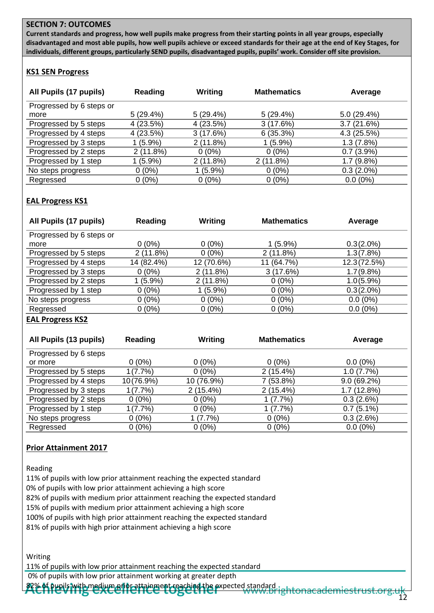**Current standards and progress, how well pupils make progress from their starting points in all year groups, especially disadvantaged and most able pupils, how well pupils achieve or exceed standards for their age at the end of Key Stages, for individuals, different groups, particularly SEND pupils, disadvantaged pupils, pupils' work. Consider off site provision.** 

# **KS1 SEN Progress**

| All Pupils (17 pupils)   | Reading    | Writing    | <b>Mathematics</b> | Average      |
|--------------------------|------------|------------|--------------------|--------------|
| Progressed by 6 steps or |            |            |                    |              |
| more                     | 5(29.4%)   | 5(29.4%)   | 5(29.4%)           | 5.0(29.4%)   |
| Progressed by 5 steps    | 4(23.5%)   | 4(23.5%)   | 3(17.6%)           | 3.7(21.6%)   |
| Progressed by 4 steps    | 4(23.5%)   | 3(17.6%)   | 6(35.3%)           | 4.3(25.5%)   |
| Progressed by 3 steps    | $1(5.9\%)$ | 2(11.8%)   | $1(5.9\%)$         | 1.3(7.8%)    |
| Progressed by 2 steps    | 2(11.8%)   | $0(0\%)$   | $0(0\%)$           | 0.7(3.9%)    |
| Progressed by 1 step     | $1(5.9\%)$ | 2(11.8%)   | 2(11.8%)           | 1.7(9.8%)    |
| No steps progress        | $0(0\%)$   | $1(5.9\%)$ | $0(0\%)$           | $0.3(2.0\%)$ |
| Regressed                | $0(0\%)$   | $0(0\%)$   | $0(0\%)$           | $0.0(0\%)$   |

# **EAL Progress KS1**

| All Pupils (17 pupils)   | Reading     | Writing    | <b>Mathematics</b> | Average      |
|--------------------------|-------------|------------|--------------------|--------------|
| Progressed by 6 steps or |             |            |                    |              |
| more                     | $0(0\%)$    | $0(0\%)$   | $1(5.9\%)$         | $0.3(2.0\%)$ |
| Progressed by 5 steps    | $2(11.8\%)$ | $0(0\%)$   | 2(11.8%)           | 1.3(7.8%)    |
| Progressed by 4 steps    | 14 (82.4%)  | 12 (70.6%) | 11 (64.7%)         | 12.3 (72.5%) |
| Progressed by 3 steps    | $0(0\%)$    | 2(11.8%)   | 3(17.6%)           | 1.7(9.8%)    |
| Progressed by 2 steps    | $(5.9\%)$   | 2(11.8%)   | $0(0\%)$           | $1.0(5.9\%)$ |
| Progressed by 1 step     | $0(0\%)$    | $1(5.9\%)$ | $0(0\%)$           | $0.3(2.0\%)$ |
| No steps progress        | $0(0\%)$    | $0(0\%)$   | $0(0\%)$           | $0.0(0\%)$   |
| Regressed                | $0(0\%)$    | $0(0\%)$   | $0(0\%)$           | $0.0(0\%)$   |

#### **EAL Progress KS2**

| All Pupils (13 pupils) | <b>Reading</b> | Writing     | <b>Mathematics</b> | Average      |
|------------------------|----------------|-------------|--------------------|--------------|
| Progressed by 6 steps  |                |             |                    |              |
| or more                | $0(0\%)$       | $0(0\%)$    | $0(0\%)$           | $0.0(0\%)$   |
| Progressed by 5 steps  | 1(7.7%)        | $0(0\%)$    | $2(15.4\%)$        | 1.0(7.7%)    |
| Progressed by 4 steps  | 10(76.9%)      | 10 (76.9%)  | 7 (53.8%)          | 9.0(69.2%)   |
| Progressed by 3 steps  | 1(7.7%)        | $2(15.4\%)$ | $2(15.4\%)$        | 1.7(12.8%)   |
| Progressed by 2 steps  | $0(0\%)$       | $0(0\%)$    | 1(7.7%)            | 0.3(2.6%)    |
| Progressed by 1 step   | 1(7.7%)        | $0(0\%)$    | 1(7.7%)            | $0.7(5.1\%)$ |
| No steps progress      | $0(0\%)$       | $(7.7\%)$   | $0(0\%)$           | 0.3(2.6%)    |
| Regressed              | $0(0\%)$       | $0(0\%)$    | $0(0\%)$           | $0.0(0\%)$   |

#### **Prior Attainment 2017**

Reading

11% of pupils with low prior attainment reaching the expected standard 0% of pupils with low prior attainment achieving a high score 82% of pupils with medium prior attainment reaching the expected standard 15% of pupils with medium prior attainment achieving a high score 100% of pupils with high prior attainment reaching the expected standard 81% of pupils with high prior attainment achieving a high score

Writing

11% of pupils with low prior attainment reaching the expected standard

0% of pupils with low prior attainment working at greater depth

% of pupils with medium prior attainment reaching the expected standard right on academiestrust.org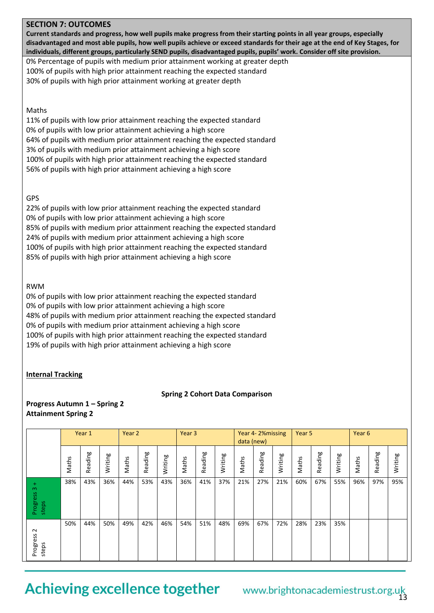**Current standards and progress, how well pupils make progress from their starting points in all year groups, especially disadvantaged and most able pupils, how well pupils achieve or exceed standards for their age at the end of Key Stages, for individuals, different groups, particularly SEND pupils, disadvantaged pupils, pupils' work. Consider off site provision.** 

0% Percentage of pupils with medium prior attainment working at greater depth 100% of pupils with high prior attainment reaching the expected standard 30% of pupils with high prior attainment working at greater depth

#### Maths

11% of pupils with low prior attainment reaching the expected standard 0% of pupils with low prior attainment achieving a high score 64% of pupils with medium prior attainment reaching the expected standard 3% of pupils with medium prior attainment achieving a high score 100% of pupils with high prior attainment reaching the expected standard 56% of pupils with high prior attainment achieving a high score

#### GPS

22% of pupils with low prior attainment reaching the expected standard 0% of pupils with low prior attainment achieving a high score 85% of pupils with medium prior attainment reaching the expected standard 24% of pupils with medium prior attainment achieving a high score 100% of pupils with high prior attainment reaching the expected standard 85% of pupils with high prior attainment achieving a high score

#### RWM

0% of pupils with low prior attainment reaching the expected standard 0% of pupils with low prior attainment achieving a high score 48% of pupils with medium prior attainment reaching the expected standard 0% of pupils with medium prior attainment achieving a high score 100% of pupils with high prior attainment reaching the expected standard 19% of pupils with high prior attainment achieving a high score

#### **Internal Tracking**

#### **Spring 2 Cohort Data Comparison**

#### **Progress Autumn 1 – Spring 2 Attainment Spring 2**

|                                    |       | Year 1  |         | Year 2 |         |         |       | Year 3  |         |       | Year 4-2% missing<br>data (new) |         |       | Year 5  |         |       | Year 6  |         |  |
|------------------------------------|-------|---------|---------|--------|---------|---------|-------|---------|---------|-------|---------------------------------|---------|-------|---------|---------|-------|---------|---------|--|
|                                    | Maths | Reading | Writing | Maths  | Reading | Writing | Maths | Reading | Writing | Maths | Reading                         | Writing | Maths | Reading | Writing | Maths | Reading | Writing |  |
| ÷<br>$\infty$<br>Progress<br>steps | 38%   | 43%     | 36%     | 44%    | 53%     | 43%     | 36%   | 41%     | 37%     | 21%   | 27%                             | 21%     | 60%   | 67%     | 55%     | 96%   | 97%     | 95%     |  |
| $\sim$<br>Progress<br>steps        | 50%   | 44%     | 50%     | 49%    | 42%     | 46%     | 54%   | 51%     | 48%     | 69%   | 67%                             | 72%     | 28%   | 23%     | 35%     |       |         |         |  |

# Achieving excellence together www.brightonacademiestrust.org.uk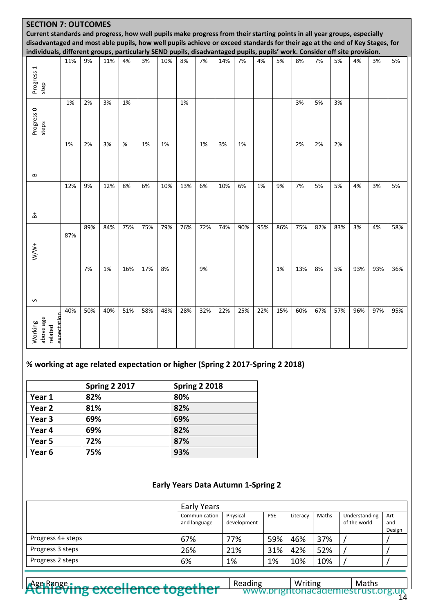|                                                                                                                             | <b>SECTION 7: OUTCOMES</b> |     |     |     |     |     |     |     |     |     |     |     |     |     |     |     |     |     |
|-----------------------------------------------------------------------------------------------------------------------------|----------------------------|-----|-----|-----|-----|-----|-----|-----|-----|-----|-----|-----|-----|-----|-----|-----|-----|-----|
| Current standards and progress, how well pupils make progress from their starting points in all year groups, especially     |                            |     |     |     |     |     |     |     |     |     |     |     |     |     |     |     |     |     |
| disadvantaged and most able pupils, how well pupils achieve or exceed standards for their age at the end of Key Stages, for |                            |     |     |     |     |     |     |     |     |     |     |     |     |     |     |     |     |     |
| individuals, different groups, particularly SEND pupils, disadvantaged pupils, pupils' work. Consider off site provision.   |                            |     |     |     |     |     |     |     |     |     |     |     |     |     |     |     |     |     |
| Progress 1<br>step                                                                                                          | 11%                        | 9%  | 11% | 4%  | 3%  | 10% | 8%  | 7%  | 14% | 7%  | 4%  | 5%  | 8%  | 7%  | 5%  | 4%  | 3%  | 5%  |
| Progress 0<br>steps                                                                                                         | 1%                         | 2%  | 3%  | 1%  |     |     | 1%  |     |     |     |     |     | 3%  | 5%  | 3%  |     |     |     |
| S                                                                                                                           | 1%                         | 2%  | 3%  | %   | 1%  | 1%  |     | 1%  | 3%  | 1%  |     |     | 2%  | 2%  | 2%  |     |     |     |
| 훕                                                                                                                           | 12%                        | 9%  | 12% | 8%  | 6%  | 10% | 13% | 6%  | 10% | 6%  | 1%  | 9%  | 7%  | 5%  | 5%  | 4%  | 3%  | 5%  |
| $W/W^+$                                                                                                                     | 87%                        | 89% | 84% | 75% | 75% | 79% | 76% | 72% | 74% | 90% | 95% | 86% | 75% | 82% | 83% | 3%  | 4%  | 58% |
| S                                                                                                                           |                            | 7%  | 1%  | 16% | 17% | 8%  |     | 9%  |     |     |     | 1%  | 13% | 8%  | 5%  | 93% | 93% | 36% |
| expectation<br>above age<br>Working<br>related                                                                              | 40%                        | 50% | 40% | 51% | 58% | 48% | 28% | 32% | 22% | 25% | 22% | 15% | 60% | 67% | 57% | 96% | 97% | 95% |

# **% working at age related expectation or higher (Spring 2 2017-Spring 2 2018)**

|                   | <b>Spring 2 2017</b> | <b>Spring 2 2018</b> |
|-------------------|----------------------|----------------------|
| Year 1            | 82%                  | 80%                  |
| Year 2            | 81%                  | 82%                  |
| Year 3            | 69%                  | 69%                  |
| Year 4            | 69%                  | 82%                  |
| Year 5            | 72%                  | 87%                  |
| Year <sub>6</sub> | 75%                  | 93%                  |

# **Early Years Data Autumn 1-Spring 2**

|                   | Early Years                   |                         |            |          |       |                               |                      |
|-------------------|-------------------------------|-------------------------|------------|----------|-------|-------------------------------|----------------------|
|                   | Communication<br>and language | Physical<br>development | <b>PSE</b> | Literacy | Maths | Understanding<br>of the world | Art<br>and<br>Design |
| Progress 4+ steps | 67%                           | 77%                     | 59%        | 46%      | 37%   |                               |                      |
| Progress 3 steps  | 26%                           | 21%                     | 31%        | 42%      | 52%   |                               |                      |
| Progress 2 steps  | 6%                            | 1%                      | 1%         | 10%      | 10%   |                               |                      |

Age Range ing excellence together Reading | Writing | Maths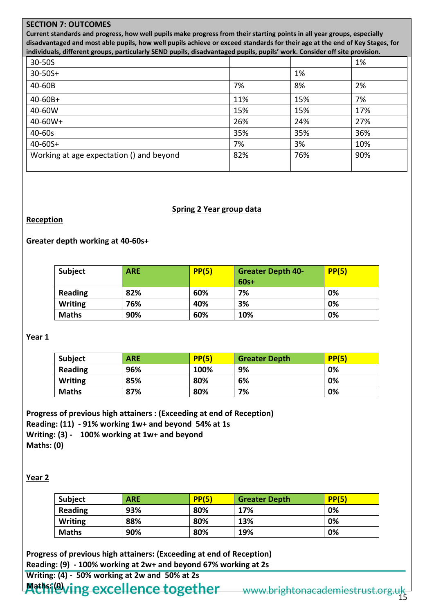**Current standards and progress, how well pupils make progress from their starting points in all year groups, especially disadvantaged and most able pupils, how well pupils achieve or exceed standards for their age at the end of Key Stages, for individuals, different groups, particularly SEND pupils, disadvantaged pupils, pupils' work. Consider off site provision.** 

| 30-50S                                   |     |     | 1%  |
|------------------------------------------|-----|-----|-----|
| $30 - 50S +$                             |     | 1%  |     |
| 40-60B                                   | 7%  | 8%  | 2%  |
| $40 - 60B +$                             | 11% | 15% | 7%  |
| 40-60W                                   | 15% | 15% | 17% |
| $40 - 60W +$                             | 26% | 24% | 27% |
| 40-60s                                   | 35% | 35% | 36% |
| $40 - 60S +$                             | 7%  | 3%  | 10% |
| Working at age expectation () and beyond | 82% | 76% | 90% |

#### **Spring 2 Year group data**

# **Reception**

# **Greater depth working at 40-60s+**

| <b>Subject</b> | <b>ARE</b> | PP(5) | <b>Greater Depth 40-</b><br>$60s+$ | PP(5) |
|----------------|------------|-------|------------------------------------|-------|
| Reading        | 82%        | 60%   | 7%                                 | 0%    |
| <b>Writing</b> | 76%        | 40%   | 3%                                 | 0%    |
| <b>Maths</b>   | 90%        | 60%   | 10%                                | 0%    |

# **Year 1**

| <b>Subject</b> | ARE | PP(5) | <b>Greater Depth</b> | PP(5) |
|----------------|-----|-------|----------------------|-------|
| Reading        | 96% | 100%  | 9%                   | 0%    |
| <b>Writing</b> | 85% | 80%   | 6%                   | 0%    |
| <b>Maths</b>   | 87% | 80%   | 7%                   | 0%    |

**Progress of previous high attainers : (Exceeding at end of Reception) Reading: (11) - 91% working 1w+ and beyond 54% at 1s Writing: (3) - 100% working at 1w+ and beyond Maths: (0)**

#### **Year 2**

| <b>Subject</b> | ARE | PP(5) | <b>Greater Depth</b> | PP(5) |
|----------------|-----|-------|----------------------|-------|
| <b>Reading</b> | 93% | 80%   | 17%                  | 0%    |
| <b>Writing</b> | 88% | 80%   | 13%                  | 0%    |
| <b>Maths</b>   | 90% | 80%   | 19%                  | 0%    |

**Progress of previous high attainers: (Exceeding at end of Reception) Reading: (9) - 100% working at 2w+ and beyond 67% working at 2s**

**Writing: (4) - 50% working at 2w and 50% at 2s**

**Maths: (elving excellence together** www.brightonacademiestrust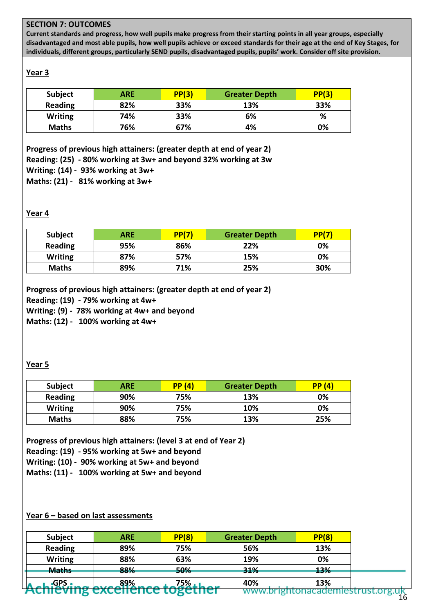**Current standards and progress, how well pupils make progress from their starting points in all year groups, especially disadvantaged and most able pupils, how well pupils achieve or exceed standards for their age at the end of Key Stages, for individuals, different groups, particularly SEND pupils, disadvantaged pupils, pupils' work. Consider off site provision.** 

# **Year 3**

| <b>Subject</b> | ARE | PP(3) | <b>Greater Depth</b> | PP(3) |
|----------------|-----|-------|----------------------|-------|
| <b>Reading</b> | 82% | 33%   | 13%                  | 33%   |
| <b>Writing</b> | 74% | 33%   | 6%                   | %     |
| <b>Maths</b>   | 76% | 67%   | 4%                   | 0%    |

**Progress of previous high attainers: (greater depth at end of year 2) Reading: (25) - 80% working at 3w+ and beyond 32% working at 3w Writing: (14) - 93% working at 3w+ Maths: (21) - 81% working at 3w+** 

# **Year 4**

| <b>Subject</b> | ARE | PP(7) | <b>Greater Depth</b> | PP(7) |
|----------------|-----|-------|----------------------|-------|
| <b>Reading</b> | 95% | 86%   | 22%                  | 0%    |
| <b>Writing</b> | 87% | 57%   | 15%                  | 0%    |
| <b>Maths</b>   | 89% | 71%   | 25%                  | 30%   |

**Progress of previous high attainers: (greater depth at end of year 2)**

**Reading: (19) - 79% working at 4w+** 

**Writing: (9) - 78% working at 4w+ and beyond** 

**Maths: (12) - 100% working at 4w+**

# **Year 5**

| <b>Subject</b> | ARE | PP(4) | <b>Greater Depth</b> | PP(4) |
|----------------|-----|-------|----------------------|-------|
| <b>Reading</b> | 90% | 75%   | 13%                  | 0%    |
| <b>Writing</b> | 90% | 75%   | 10%                  | 0%    |
| <b>Maths</b>   | 88% | 75%   | 13%                  | 25%   |

**Progress of previous high attainers: (level 3 at end of Year 2) Reading: (19) - 95% working at 5w+ and beyond Writing: (10) - 90% working at 5w+ and beyond Maths: (11) - 100% working at 5w+ and beyond** 

#### **Year 6 – based on last assessments**

| Subject        | <b>ARE</b> | PP(8)           | <b>Greater Depth</b> | PP(8) |
|----------------|------------|-----------------|----------------------|-------|
| <b>Reading</b> | 89%        | 75%             | 56%                  | 13%   |
| <b>Writing</b> | 88%        | 63%             | 19%                  | 0%    |
| <b>Maths</b>   | 88%        | 50%             | 31%                  | 13%   |
|                | 89%        | 75%.            | 40%                  | 13%   |
|                |            | <b>LUSCLIIC</b> |                      |       |

16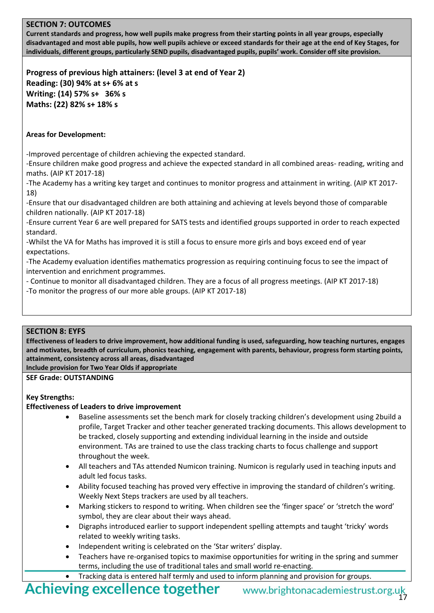**Current standards and progress, how well pupils make progress from their starting points in all year groups, especially disadvantaged and most able pupils, how well pupils achieve or exceed standards for their age at the end of Key Stages, for individuals, different groups, particularly SEND pupils, disadvantaged pupils, pupils' work. Consider off site provision.** 

**Progress of previous high attainers: (level 3 at end of Year 2) Reading: (30) 94% at s+ 6% at s Writing: (14) 57% s+ 36% s Maths: (22) 82% s+ 18% s**

### **Areas for Development:**

-Improved percentage of children achieving the expected standard.

-Ensure children make good progress and achieve the expected standard in all combined areas- reading, writing and maths. (AIP KT 2017-18)

-The Academy has a writing key target and continues to monitor progress and attainment in writing. (AIP KT 2017- 18)

-Ensure that our disadvantaged children are both attaining and achieving at levels beyond those of comparable children nationally. (AIP KT 2017-18)

-Ensure current Year 6 are well prepared for SATS tests and identified groups supported in order to reach expected standard.

-Whilst the VA for Maths has improved it is still a focus to ensure more girls and boys exceed end of year expectations.

-The Academy evaluation identifies mathematics progression as requiring continuing focus to see the impact of intervention and enrichment programmes.

- Continue to monitor all disadvantaged children. They are a focus of all progress meetings. (AIP KT 2017-18)

-To monitor the progress of our more able groups. (AIP KT 2017-18)

#### **SECTION 8: EYFS**

**Effectiveness of leaders to drive improvement, how additional funding is used, safeguarding, how teaching nurtures, engages and motivates, breadth of curriculum, phonics teaching, engagement with parents, behaviour, progress form starting points, attainment, consistency across all areas, disadvantaged Include provision for Two Year Olds if appropriate**

**SEF Grade: OUTSTANDING**

#### **Key Strengths:**

#### **Effectiveness of Leaders to drive improvement**

- Baseline assessments set the bench mark for closely tracking children's development using 2build a profile, Target Tracker and other teacher generated tracking documents. This allows development to be tracked, closely supporting and extending individual learning in the inside and outside environment. TAs are trained to use the class tracking charts to focus challenge and support throughout the week.
- All teachers and TAs attended Numicon training. Numicon is regularly used in teaching inputs and adult led focus tasks.
- Ability focused teaching has proved very effective in improving the standard of children's writing. Weekly Next Steps trackers are used by all teachers.
- Marking stickers to respond to writing. When children see the 'finger space' or 'stretch the word' symbol, they are clear about their ways ahead.
- Digraphs introduced earlier to support independent spelling attempts and taught 'tricky' words related to weekly writing tasks.
- Independent writing is celebrated on the 'Star writers' display.
- Teachers have re-organised topics to maximise opportunities for writing in the spring and summer terms, including the use of traditional tales and small world re-enacting.
- Tracking data is entered half termly and used to inform planning and provision for groups.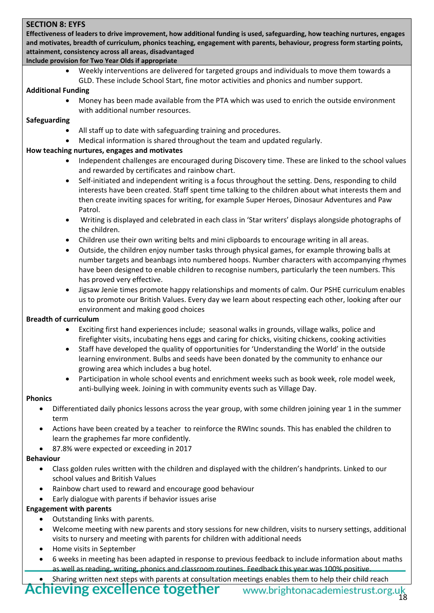### **SECTION 8: EYFS**

**Effectiveness of leaders to drive improvement, how additional funding is used, safeguarding, how teaching nurtures, engages and motivates, breadth of curriculum, phonics teaching, engagement with parents, behaviour, progress form starting points, attainment, consistency across all areas, disadvantaged**

### **Include provision for Two Year Olds if appropriate**

• Weekly interventions are delivered for targeted groups and individuals to move them towards a GLD. These include School Start, fine motor activities and phonics and number support.

#### **Additional Funding**

• Money has been made available from the PTA which was used to enrich the outside environment with additional number resources.

### **Safeguarding**

- All staff up to date with safeguarding training and procedures.
- Medical information is shared throughout the team and updated regularly.

# **How teaching nurtures, engages and motivates**

- Independent challenges are encouraged during Discovery time. These are linked to the school values and rewarded by certificates and rainbow chart.
- Self-initiated and independent writing is a focus throughout the setting. Dens, responding to child interests have been created. Staff spent time talking to the children about what interests them and then create inviting spaces for writing, for example Super Heroes, Dinosaur Adventures and Paw Patrol.
- Writing is displayed and celebrated in each class in 'Star writers' displays alongside photographs of the children.
- Children use their own writing belts and mini clipboards to encourage writing in all areas.
- Outside, the children enjoy number tasks through physical games, for example throwing balls at number targets and beanbags into numbered hoops. Number characters with accompanying rhymes have been designed to enable children to recognise numbers, particularly the teen numbers. This has proved very effective.
- Jigsaw Jenie times promote happy relationships and moments of calm. Our PSHE curriculum enables us to promote our British Values. Every day we learn about respecting each other, looking after our environment and making good choices

#### **Breadth of curriculum**

- Exciting first hand experiences include; seasonal walks in grounds, village walks, police and firefighter visits, incubating hens eggs and caring for chicks, visiting chickens, cooking activities
- Staff have developed the quality of opportunities for 'Understanding the World' in the outside learning environment. Bulbs and seeds have been donated by the community to enhance our growing area which includes a bug hotel.
- Participation in whole school events and enrichment weeks such as book week, role model week, anti-bullying week. Joining in with community events such as Village Day.

#### **Phonics**

- Differentiated daily phonics lessons across the year group, with some children joining year 1 in the summer term
- Actions have been created by a teacher to reinforce the RWInc sounds. This has enabled the children to learn the graphemes far more confidently.
- 87.8% were expected or exceeding in 2017

#### **Behaviour**

- Class golden rules written with the children and displayed with the children's handprints. Linked to our school values and British Values
- Rainbow chart used to reward and encourage good behaviour
- Early dialogue with parents if behavior issues arise

# **Engagement with parents**

- Outstanding links with parents.
- Welcome meeting with new parents and story sessions for new children, visits to nursery settings, additional visits to nursery and meeting with parents for children with additional needs
- Home visits in September
- 6 weeks in meeting has been adapted in response to previous feedback to include information about maths as well as reading, writing, phonics and classroom routines. Feedback this year was 100% positive
- Sharing written next steps with parents at consultation meetings enables them to help their child reach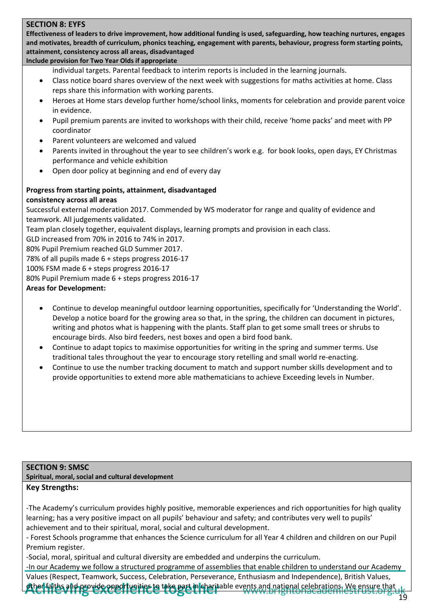### **SECTION 8: EYFS**

**Effectiveness of leaders to drive improvement, how additional funding is used, safeguarding, how teaching nurtures, engages and motivates, breadth of curriculum, phonics teaching, engagement with parents, behaviour, progress form starting points, attainment, consistency across all areas, disadvantaged**

# **Include provision for Two Year Olds if appropriate**

individual targets. Parental feedback to interim reports is included in the learning journals.

- Class notice board shares overview of the next week with suggestions for maths activities at home. Class reps share this information with working parents.
- Heroes at Home stars develop further home/school links, moments for celebration and provide parent voice in evidence.
- Pupil premium parents are invited to workshops with their child, receive 'home packs' and meet with PP coordinator
- Parent volunteers are welcomed and valued
- Parents invited in throughout the year to see children's work e.g. for book looks, open days, EY Christmas performance and vehicle exhibition
- Open door policy at beginning and end of every day

#### **Progress from starting points, attainment, disadvantaged consistency across all areas**

Successful external moderation 2017. Commended by WS moderator for range and quality of evidence and teamwork. All judgements validated.

Team plan closely together, equivalent displays, learning prompts and provision in each class.

GLD increased from 70% in 2016 to 74% in 2017.

80% Pupil Premium reached GLD Summer 2017.

78% of all pupils made 6 + steps progress 2016-17

100% FSM made 6 + steps progress 2016-17

80% Pupil Premium made 6 + steps progress 2016-17

#### **Areas for Development:**

- Continue to develop meaningful outdoor learning opportunities, specifically for 'Understanding the World'. Develop a notice board for the growing area so that, in the spring, the children can document in pictures, writing and photos what is happening with the plants. Staff plan to get some small trees or shrubs to encourage birds. Also bird feeders, nest boxes and open a bird food bank.
- Continue to adapt topics to maximise opportunities for writing in the spring and summer terms. Use traditional tales throughout the year to encourage story retelling and small world re-enacting.
- Continue to use the number tracking document to match and support number skills development and to provide opportunities to extend more able mathematicians to achieve Exceeding levels in Number.

#### **SECTION 9: SMSC**

**Spiritual, moral, social and cultural development**

#### **Key Strengths:**

-The Academy's curriculum provides highly positive, memorable experiences and rich opportunities for high quality learning; has a very positive impact on all pupils' behaviour and safety; and contributes very well to pupils' achievement and to their spiritual, moral, social and cultural development.

- Forest Schools programme that enhances the Science curriculum for all Year 4 children and children on our Pupil Premium register.

-Social, moral, spiritual and cultural diversity are embedded and underpins the curriculum.

-In our Academy we follow a structured programme of assemblies that enable children to understand our Academy Values (Respect, Teamwork, Success, Celebration, Perseverance, Enthusiasm and Independence), British Values, other faiths and provide opportunities to take part in charitable events and national celebrations. We ensure that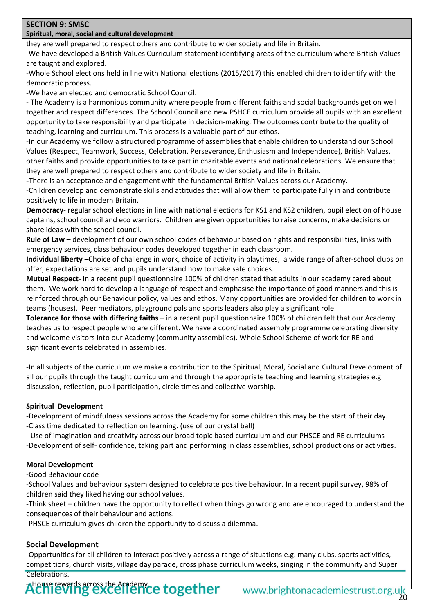#### **SECTION 9: SMSC**

# **Spiritual, moral, social and cultural development**

they are well prepared to respect others and contribute to wider society and life in Britain.

-We have developed a British Values Curriculum statement identifying areas of the curriculum where British Values are taught and explored.

-Whole School elections held in line with National elections (2015/2017) this enabled children to identify with the democratic process.

-We have an elected and democratic School Council.

- The Academy is a harmonious community where people from different faiths and social backgrounds get on well together and respect differences. The School Council and new PSHCE curriculum provide all pupils with an excellent opportunity to take responsibility and participate in decision-making. The outcomes contribute to the quality of teaching, learning and curriculum. This process is a valuable part of our ethos.

-In our Academy we follow a structured programme of assemblies that enable children to understand our School Values (Respect, Teamwork, Success, Celebration, Perseverance, Enthusiasm and Independence), British Values, other faiths and provide opportunities to take part in charitable events and national celebrations. We ensure that they are well prepared to respect others and contribute to wider society and life in Britain.

-There is an acceptance and engagement with the fundamental British Values across our Academy.

-Children develop and demonstrate skills and attitudes that will allow them to participate fully in and contribute positively to life in modern Britain.

**Democracy**- regular school elections in line with national elections for KS1 and KS2 children, pupil election of house captains, school council and eco warriors. Children are given opportunities to raise concerns, make decisions or share ideas with the school council.

**Rule of Law** – development of our own school codes of behaviour based on rights and responsibilities, links with emergency services, class behaviour codes developed together in each classroom.

**Individual liberty** –Choice of challenge in work, choice of activity in playtimes, a wide range of after-school clubs on offer, expectations are set and pupils understand how to make safe choices.

**Mutual Respect**- In a recent pupil questionnaire 100% of children stated that adults in our academy cared about them. We work hard to develop a language of respect and emphasise the importance of good manners and this is reinforced through our Behaviour policy, values and ethos. Many opportunities are provided for children to work in teams (houses). Peer mediators, playground pals and sports leaders also play a significant role.

**Tolerance for those with differing faiths** – in a recent pupil questionnaire 100% of children felt that our Academy teaches us to respect people who are different. We have a coordinated assembly programme celebrating diversity and welcome visitors into our Academy (community assemblies). Whole School Scheme of work for RE and significant events celebrated in assemblies.

-In all subjects of the curriculum we make a contribution to the Spiritual, Moral, Social and Cultural Development of all our pupils through the taught curriculum and through the appropriate teaching and learning strategies e.g. discussion, reflection, pupil participation, circle times and collective worship.

# **Spiritual Development**

-Development of mindfulness sessions across the Academy for some children this may be the start of their day. -Class time dedicated to reflection on learning. (use of our crystal ball)

-Use of imagination and creativity across our broad topic based curriculum and our PHSCE and RE curriculums -Development of self- confidence, taking part and performing in class assemblies, school productions or activities.

# **Moral Development**

-Good Behaviour code

-School Values and behaviour system designed to celebrate positive behaviour. In a recent pupil survey, 98% of children said they liked having our school values.

-Think sheet – children have the opportunity to reflect when things go wrong and are encouraged to understand the consequences of their behaviour and actions.

-PHSCE curriculum gives children the opportunity to discuss a dilemma.

# **Social Development**

-Opportunities for all children to interact positively across a range of situations e.g. many clubs, sports activities, competitions, church visits, village day parade, cross phase curriculum weeks, singing in the community and Super Celebrations.